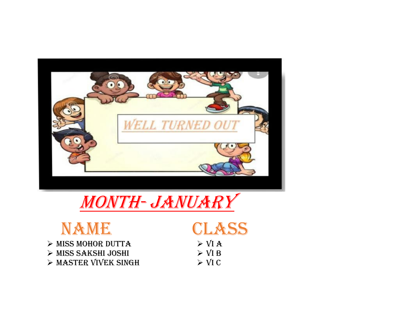

## Month- January



- ➢ Miss Mohor Dutta
- ➢ Miss Sakshi Joshi
- ➢ Master Vivek Singh

NAME CLASS

 $>$  VI A  $>$  VI B  $>$  VI C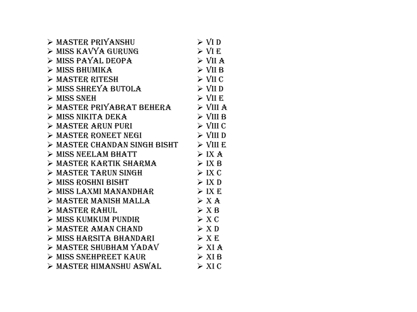| > MASTER PRIYANSHU                   | $\triangleright$ VI D   |
|--------------------------------------|-------------------------|
| > MISS KAVYA GURUNG                  | $\triangleright$ VI E   |
| $>$ MISS PAYAL DEOPA                 | $>$ VII A               |
| $\triangleright$ MISS BHUMIKA        | $\triangleright$ VII B  |
| > MASTER RITESH                      | $\triangleright$ VII C  |
| > MISS SHREYA BUTOLA                 | $\triangleright$ VII D  |
| $>$ MISS SNEH                        | $\triangleright$ VII E  |
| > MASTER PRIYABRAT BEHERA > VIII A   |                         |
| $>$ MISS NIKITA DEKA                 | $\triangleright$ VIII B |
| > MASTER ARUN PURI                   | $\triangleright$ VIII C |
| $\triangleright$ MASTER RONEET NEGI  | $\triangleright$ VIII D |
| > MASTER CHANDAN SINGH BISHT         | $\triangleright$ VIII E |
| $>$ MISS NEELAM BHATT                | $>$ IX A                |
| > MASTER KARTIK SHARMA               | $>$ IX B                |
| > MASTER TARUN SINGH                 | > IX C                  |
| > MISS ROSHNI BISHT                  | > IX D                  |
| > MISS LAXMI MANANDHAR               | > IX E                  |
| $\triangleright$ MASTER MANISH MALLA | > X A                   |
| > MASTER RAHUL                       | > X B                   |
| $\triangleright$ MISS KUMKUM PUNDIR  | > X C                   |
| > MASTER AMAN CHAND                  | $>$ XD                  |
| > MISS HARSITA BHANDARI              | > X E                   |
| > MASTER SHUBHAM YADAV               | $>$ XI A                |
| $\triangleright$ MISS SNEHPREET KAUR | > XIB                   |
| > MASTER HIMANSHU ASWAL              | $\triangleright$ XIC    |